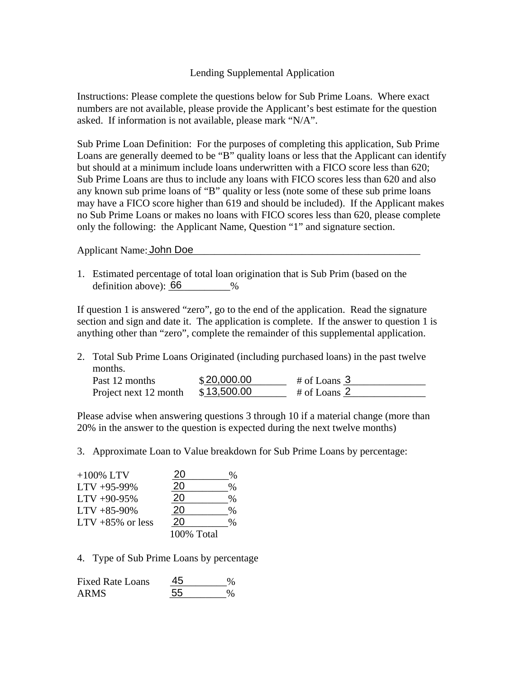## Lending Supplemental Application

Instructions: Please complete the questions below for Sub Prime Loans. Where exact numbers are not available, please provide the Applicant's best estimate for the question asked. If information is not available, please mark "N/A".

Sub Prime Loan Definition: For the purposes of completing this application, Sub Prime Loans are generally deemed to be "B" quality loans or less that the Applicant can identify but should at a minimum include loans underwritten with a FICO score less than 620; Sub Prime Loans are thus to include any loans with FICO scores less than 620 and also any known sub prime loans of "B" quality or less (note some of these sub prime loans may have a FICO score higher than 619 and should be included). If the Applicant makes no Sub Prime Loans or makes no loans with FICO scores less than 620, please complete only the following: the Applicant Name, Question "1" and signature section.

Applicant Name: John Doe

1. Estimated percentage of total loan origination that is Sub Prim (based on the definition above):  $66$  %

If question 1 is answered "zero", go to the end of the application. Read the signature section and sign and date it. The application is complete. If the answer to question 1 is anything other than "zero", complete the remainder of this supplemental application.

2. Total Sub Prime Loans Originated (including purchased loans) in the past twelve months. Past 12 months  $$20,000.00$  # of Loans 3

Please advise when answering questions 3 through 10 if a material change (more than 20% in the answer to the question is expected during the next twelve months)

3. Approximate Loan to Value breakdown for Sub Prime Loans by percentage:

Project next 12 month  $$13,500.00$  # of Loans 2

 $$13,500.00$ 

| $+100\%$ LTV                         | 20         | %    |
|--------------------------------------|------------|------|
| $LTV +95-99\%$                       | 20         | $\%$ |
| $LTV +90-95%$                        | 20         | $\%$ |
| $LTV +85-90\%$                       | 20         | $\%$ |
| $LTV +85\%$ or less                  | 20         | $\%$ |
|                                      | 100% Total |      |
| 4. Type of Sub Prime Loans by percen |            |      |
| <b>Fixed Rate Loans</b>              | 45         | %    |
| <b>ARMS</b>                          | 55         | %    |

4. Type of Sub Prime Loans by percentage

| <b>Fixed Rate Loans</b> | 45 |  |
|-------------------------|----|--|
| <b>ARMS</b>             | 55 |  |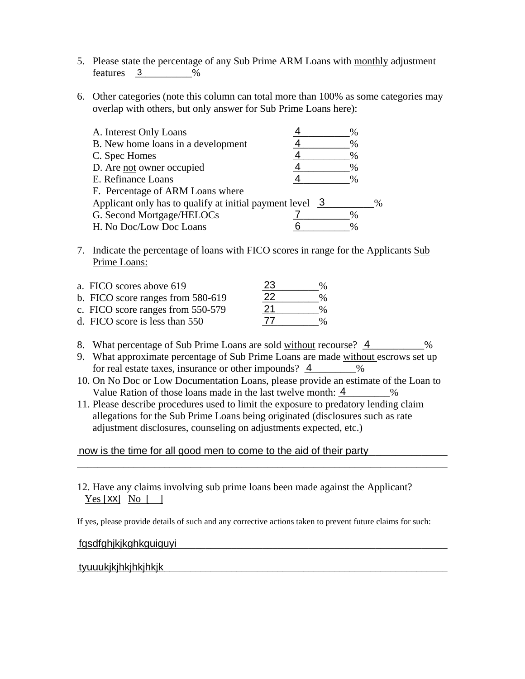- 5. Please state the percentage of any Sub Prime ARM Loans with monthly adjustment  $features \quad 3 \quad 2\%$
- 6. Other categories (note this column can total more than 100% as some categories may overlap with others, but only answer for Sub Prime Loans here):

| A. Interest Only Loans                                                |      |      |
|-----------------------------------------------------------------------|------|------|
| B. New home loans in a development                                    | ℅    |      |
| C. Spec Homes                                                         | ℅    |      |
| D. Are not owner occupied                                             | %    |      |
| E. Refinance Loans                                                    | %    |      |
| F. Percentage of ARM Loans where                                      |      |      |
| Applicant only has to qualify at initial payment level $\overline{3}$ |      | $\%$ |
| G. Second Mortgage/HELOCs                                             |      |      |
| H. No Doc/Low Doc Loans                                               | $\%$ |      |

7. Indicate the percentage of loans with FICO scores in range for the Applicants Sub Prime Loans:

| a. FICO scores above 619          | 23 | $\%$ |
|-----------------------------------|----|------|
| b. FICO score ranges from 580-619 | 22 | $\%$ |
| c. FICO score ranges from 550-579 | 21 | $\%$ |
| d. FICO score is less than 550    | 77 | $\%$ |

- 8. What percentage of Sub Prime Loans are sold without recourse?  $\frac{4}{1}$  %
- 9. What approximate percentage of Sub Prime Loans are made without escrows set up for real estate taxes, insurance or other impounds?  $\frac{4}{1}$  %
- 10. On No Doc or Low Documentation Loans, please provide an estimate of the Loan to Value Ration of those loans made in the last twelve month:  $\frac{4}{1}$  %

\_\_\_\_\_\_\_\_\_\_\_\_\_\_\_\_\_\_\_\_\_\_\_\_\_\_\_\_\_\_\_\_\_\_\_\_\_\_\_\_\_\_\_\_\_\_\_\_\_\_\_\_\_\_\_\_\_\_\_\_\_\_\_\_\_\_\_\_\_\_\_\_

11. Please describe procedures used to limit the exposure to predatory lending claim allegations for the Sub Prime Loans being originated (disclosures such as rate adjustment disclosures, counseling on adjustments expected, etc.)

now is the time for all good men to come to the aid of their party

12. Have any claims involving sub prime loans been made against the Applicant?  $Yes [XX] No []$ 

If yes, please provide details of such and any corrective actions taken to prevent future claims for such:

## \_\_\_\_\_\_\_\_\_\_\_\_\_\_\_\_\_\_\_\_\_\_\_\_\_\_\_\_\_\_\_\_\_\_\_\_\_\_\_\_\_\_\_\_\_\_\_\_\_\_\_\_\_\_\_\_\_\_\_\_\_\_\_\_\_\_\_\_\_\_\_\_ fgsdfghjkjkghkguiguyi <u>Yes [XX]</u> No [1]<br>If yes, please provide det<br>fgsdfghjkjkghkguig<br>tyuuukjkjhkjhkjhkjk

## tyuuukikihkihkihkik